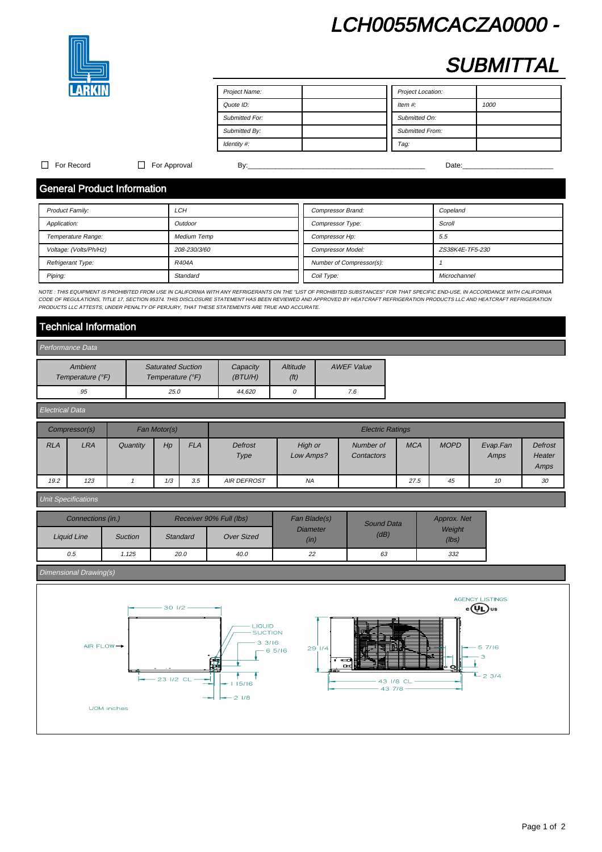# LCH0055MCACZA0000 -



# **SUBMITTAL**

| Project Name:  | Project Location:      |
|----------------|------------------------|
| Quote ID:      | Item $#$ :<br>1000     |
| Submitted For: | Submitted On:          |
| Submitted By:  | <b>Submitted From:</b> |
| Identity #:    | Tag:                   |

### For Record For Approval By:\_\_\_\_\_\_\_\_\_\_\_\_\_\_\_\_\_\_\_\_\_\_\_\_\_\_\_\_\_\_\_\_\_\_\_\_\_\_\_\_\_\_\_\_\_ Date:\_\_\_\_\_\_\_\_\_\_\_\_\_\_\_\_\_\_\_\_\_\_\_

# General Product Information

| <b>Product Family:</b> | LCH                | Compressor Brand:        | Copeland        |
|------------------------|--------------------|--------------------------|-----------------|
| Application:           | Outdoor            | Compressor Type:         | Scroll          |
| Temperature Range:     | <b>Medium Temp</b> | Compressor Hp:           | 5.5             |
| Voltage: (Volts/Ph/Hz) | 208-230/3/60       | <b>Compressor Model:</b> | ZS38K4E-TF5-230 |
| Refrigerant Type:      | R404A              | Number of Compressor(s): |                 |
| Piping:                | Standard           | Coil Type:               | Microchannel    |

NOTE : THIS EQUIPMENT IS PROHIBITED FROM USE IN CALIFORNIA WITH ANY REFRIGERANTS ON THE "LIST OF PROHIBITED SUBSTANCES" FOR THAT SPECIFIC END-USE, IN ACCORDANCE WITH CALIFORNIA CODE OF REGULATIONS, TITLE 17, SECTION 95374. THIS DISCLOSURE STATEMENT HAS BEEN REVIEWED AND APPROVED BY HEATCRAFT REFRIGERATION PRODUCTS LLC AND HEATCRAFT REFRIGERATION PRODUCTS AND HEATCRAFT REFRIGERATION PRODUCTS LLC A PRODUCTS LLC ATTESTS, UNDER PENALTY OF PERJURY, THAT THESE STATEMENTS ARE TRUE AND ACCURATE.

# Technical Information

| Performance Data            |                                              |                      |                               |                   |  |  |  |
|-----------------------------|----------------------------------------------|----------------------|-------------------------------|-------------------|--|--|--|
| Ambient<br>Temperature (°F) | <b>Saturated Suction</b><br>Temperature (°F) | Capacity<br>(BT U/H) | Altitude<br>(f <sup>t</sup> ) | <b>AWEF Value</b> |  |  |  |
| 95                          | 25.0                                         | 44.620               |                               | 7.6               |  |  |  |

| Electrical Data |               |          |              |            |                         |                      |                         |            |             |                  |                                  |
|-----------------|---------------|----------|--------------|------------|-------------------------|----------------------|-------------------------|------------|-------------|------------------|----------------------------------|
|                 | Compressor(s) |          | Fan Motor(s) |            | <b>Electric Ratings</b> |                      |                         |            |             |                  |                                  |
| <b>RLA</b>      | <b>LRA</b>    | Quantity | H            | <b>FLA</b> | Defrost<br>Type         | High or<br>Low Amps? | Number of<br>Contactors | <b>MCA</b> | <b>MOPD</b> | Evap.Fan<br>Amps | <b>Defrost</b><br>Heater<br>Amps |
| 19.2            | 123           |          | 1/3          | 3.5        | <b>AIR DEFROST</b>      | <b>NA</b>            |                         | 27.5       | 45          | 10               | 30                               |

### Unit Specifications

|             | Receiver 90% Full (lbs)<br>Connections (in.) |                 | Fan Blade(s)      | <b>Sound Data</b> | Approx. Net |                 |  |
|-------------|----------------------------------------------|-----------------|-------------------|-------------------|-------------|-----------------|--|
| Liquid Line | <b>Suction</b>                               | <b>Standard</b> | <b>Over Sized</b> | Diameter<br>(in)  | (dB)        | Weight<br>(lbs) |  |
| 0.5         | 1.125                                        | 20.0            | 40.0              | 22                | 63          | 332             |  |

### Dimensional Drawing(s)